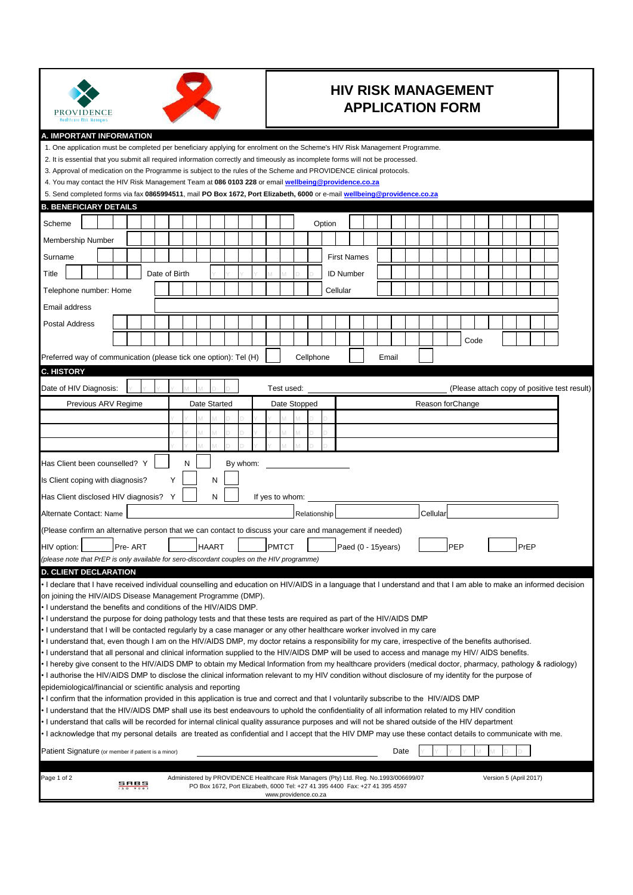

## **HIV RISK MANAGEMENT APPLICATION FORM**

## **A. IMPORTANT INFORMATION**

| A. IMPORTANT INFORMATION<br>1. One application must be completed per beneficiary applying for enrolment on the Scheme's HIV Risk Management Programme.<br>2. It is essential that you submit all required information correctly and timeously as incomplete forms will not be processed.<br>3. Approval of medication on the Programme is subject to the rules of the Scheme and PROVIDENCE clinical protocols.<br>4. You may contact the HIV Risk Management Team at 086 0103 228 or email <b>wellbeing@providence.co.za</b><br>5. Send completed forms via fax 0865994511, mail PO Box 1672, Port Elizabeth, 6000 or e-mail wellbeing@providence.co.za |                     |         |               |   |   |              |          |              |                      |              |        |                                                                                                                                                                      |                    |       |      |                   |     |      |  |                        |      |  |                                              |
|----------------------------------------------------------------------------------------------------------------------------------------------------------------------------------------------------------------------------------------------------------------------------------------------------------------------------------------------------------------------------------------------------------------------------------------------------------------------------------------------------------------------------------------------------------------------------------------------------------------------------------------------------------|---------------------|---------|---------------|---|---|--------------|----------|--------------|----------------------|--------------|--------|----------------------------------------------------------------------------------------------------------------------------------------------------------------------|--------------------|-------|------|-------------------|-----|------|--|------------------------|------|--|----------------------------------------------|
| <b>B. BENEFICIARY DETAILS</b>                                                                                                                                                                                                                                                                                                                                                                                                                                                                                                                                                                                                                            |                     |         |               |   |   |              |          |              |                      |              |        |                                                                                                                                                                      |                    |       |      |                   |     |      |  |                        |      |  |                                              |
| Scheme                                                                                                                                                                                                                                                                                                                                                                                                                                                                                                                                                                                                                                                   |                     |         |               |   |   |              |          |              |                      |              | Option |                                                                                                                                                                      |                    |       |      |                   |     |      |  |                        |      |  |                                              |
| Membership Number                                                                                                                                                                                                                                                                                                                                                                                                                                                                                                                                                                                                                                        |                     |         |               |   |   |              |          |              |                      |              |        |                                                                                                                                                                      |                    |       |      |                   |     |      |  |                        |      |  |                                              |
| Surname                                                                                                                                                                                                                                                                                                                                                                                                                                                                                                                                                                                                                                                  |                     |         |               |   |   |              |          |              |                      |              |        | <b>First Names</b>                                                                                                                                                   |                    |       |      |                   |     |      |  |                        |      |  |                                              |
| Title                                                                                                                                                                                                                                                                                                                                                                                                                                                                                                                                                                                                                                                    |                     |         | Date of Birth |   |   |              |          |              |                      |              |        | <b>ID Number</b>                                                                                                                                                     |                    |       |      |                   |     |      |  |                        |      |  |                                              |
| Telephone number: Home                                                                                                                                                                                                                                                                                                                                                                                                                                                                                                                                                                                                                                   |                     |         |               |   |   |              |          |              |                      |              |        | Cellular                                                                                                                                                             |                    |       |      |                   |     |      |  |                        |      |  |                                              |
| Email address                                                                                                                                                                                                                                                                                                                                                                                                                                                                                                                                                                                                                                            |                     |         |               |   |   |              |          |              |                      |              |        |                                                                                                                                                                      |                    |       |      |                   |     |      |  |                        |      |  |                                              |
| <b>Postal Address</b>                                                                                                                                                                                                                                                                                                                                                                                                                                                                                                                                                                                                                                    |                     |         |               |   |   |              |          |              |                      |              |        |                                                                                                                                                                      |                    |       |      |                   |     |      |  |                        |      |  |                                              |
|                                                                                                                                                                                                                                                                                                                                                                                                                                                                                                                                                                                                                                                          |                     |         |               |   |   |              |          |              |                      |              |        |                                                                                                                                                                      |                    |       |      |                   |     |      |  |                        |      |  |                                              |
|                                                                                                                                                                                                                                                                                                                                                                                                                                                                                                                                                                                                                                                          |                     |         |               |   |   |              |          |              |                      |              |        |                                                                                                                                                                      |                    |       |      |                   |     | Code |  |                        |      |  |                                              |
| Preferred way of communication (please tick one option): Tel (H)                                                                                                                                                                                                                                                                                                                                                                                                                                                                                                                                                                                         |                     |         |               |   |   |              |          |              |                      | Cellphone    |        |                                                                                                                                                                      |                    | Email |      |                   |     |      |  |                        |      |  |                                              |
| <b>C. HISTORY</b>                                                                                                                                                                                                                                                                                                                                                                                                                                                                                                                                                                                                                                        |                     |         |               |   |   |              |          |              |                      |              |        |                                                                                                                                                                      |                    |       |      |                   |     |      |  |                        |      |  |                                              |
| Date of HIV Diagnosis:                                                                                                                                                                                                                                                                                                                                                                                                                                                                                                                                                                                                                                   |                     |         |               |   |   |              |          |              | Test used:           |              |        |                                                                                                                                                                      |                    |       |      |                   |     |      |  |                        |      |  | (Please attach copy of positive test result) |
|                                                                                                                                                                                                                                                                                                                                                                                                                                                                                                                                                                                                                                                          | Previous ARV Regime |         |               |   |   | Date Started |          |              | Date Stopped         |              |        |                                                                                                                                                                      |                    |       |      | Reason for Change |     |      |  |                        |      |  |                                              |
|                                                                                                                                                                                                                                                                                                                                                                                                                                                                                                                                                                                                                                                          |                     |         |               |   |   |              |          |              |                      |              |        |                                                                                                                                                                      |                    |       |      |                   |     |      |  |                        |      |  |                                              |
|                                                                                                                                                                                                                                                                                                                                                                                                                                                                                                                                                                                                                                                          |                     |         |               |   |   |              |          |              |                      |              |        |                                                                                                                                                                      |                    |       |      |                   |     |      |  |                        |      |  |                                              |
|                                                                                                                                                                                                                                                                                                                                                                                                                                                                                                                                                                                                                                                          |                     |         |               |   |   |              |          |              |                      |              |        |                                                                                                                                                                      |                    |       |      |                   |     |      |  |                        |      |  |                                              |
| Has Client been counselled? Y                                                                                                                                                                                                                                                                                                                                                                                                                                                                                                                                                                                                                            |                     |         |               |   | N |              | By whom: |              |                      |              |        |                                                                                                                                                                      |                    |       |      |                   |     |      |  |                        |      |  |                                              |
| Is Client coping with diagnosis?                                                                                                                                                                                                                                                                                                                                                                                                                                                                                                                                                                                                                         |                     |         |               |   |   | N            |          |              |                      |              |        |                                                                                                                                                                      |                    |       |      |                   |     |      |  |                        |      |  |                                              |
| Has Client disclosed HIV diagnosis?                                                                                                                                                                                                                                                                                                                                                                                                                                                                                                                                                                                                                      |                     |         |               | Y |   | N            |          |              | If yes to whom:      |              |        |                                                                                                                                                                      |                    |       |      |                   |     |      |  |                        |      |  |                                              |
| Alternate Contact: Name                                                                                                                                                                                                                                                                                                                                                                                                                                                                                                                                                                                                                                  |                     |         |               |   |   |              |          |              |                      | Relationship |        |                                                                                                                                                                      |                    |       |      | Cellular          |     |      |  |                        |      |  |                                              |
| (Please confirm an alternative person that we can contact to discuss your care and management if needed)                                                                                                                                                                                                                                                                                                                                                                                                                                                                                                                                                 |                     |         |               |   |   |              |          |              |                      |              |        |                                                                                                                                                                      |                    |       |      |                   |     |      |  |                        |      |  |                                              |
| HIV option:                                                                                                                                                                                                                                                                                                                                                                                                                                                                                                                                                                                                                                              |                     | Pre-ART |               |   |   | <b>HAART</b> |          | <b>PMTCT</b> |                      |              |        |                                                                                                                                                                      | Paed (0 - 15years) |       |      |                   | PEP |      |  |                        | PrEP |  |                                              |
| (please note that PrEP is only available for sero-discordant couples on the HIV programme)                                                                                                                                                                                                                                                                                                                                                                                                                                                                                                                                                               |                     |         |               |   |   |              |          |              |                      |              |        |                                                                                                                                                                      |                    |       |      |                   |     |      |  |                        |      |  |                                              |
| <b>D. CLIENT DECLARATION</b>                                                                                                                                                                                                                                                                                                                                                                                                                                                                                                                                                                                                                             |                     |         |               |   |   |              |          |              |                      |              |        |                                                                                                                                                                      |                    |       |      |                   |     |      |  |                        |      |  |                                              |
| • I declare that I have received individual counselling and education on HIV/AIDS in a language that I understand and that I am able to make an informed decision<br>on joining the HIV/AIDS Disease Management Programme (DMP).                                                                                                                                                                                                                                                                                                                                                                                                                         |                     |         |               |   |   |              |          |              |                      |              |        |                                                                                                                                                                      |                    |       |      |                   |     |      |  |                        |      |  |                                              |
| . I understand the benefits and conditions of the HIV/AIDS DMP.                                                                                                                                                                                                                                                                                                                                                                                                                                                                                                                                                                                          |                     |         |               |   |   |              |          |              |                      |              |        |                                                                                                                                                                      |                    |       |      |                   |     |      |  |                        |      |  |                                              |
| I understand the purpose for doing pathology tests and that these tests are required as part of the HIV/AIDS DMP<br>I understand that I will be contacted regularly by a case manager or any other healthcare worker involved in my care                                                                                                                                                                                                                                                                                                                                                                                                                 |                     |         |               |   |   |              |          |              |                      |              |        |                                                                                                                                                                      |                    |       |      |                   |     |      |  |                        |      |  |                                              |
| . I understand that, even though I am on the HIV/AIDS DMP, my doctor retains a responsibility for my care, irrespective of the benefits authorised.                                                                                                                                                                                                                                                                                                                                                                                                                                                                                                      |                     |         |               |   |   |              |          |              |                      |              |        |                                                                                                                                                                      |                    |       |      |                   |     |      |  |                        |      |  |                                              |
| • I understand that all personal and clinical information supplied to the HIV/AIDS DMP will be used to access and manage my HIV/ AIDS benefits.                                                                                                                                                                                                                                                                                                                                                                                                                                                                                                          |                     |         |               |   |   |              |          |              |                      |              |        |                                                                                                                                                                      |                    |       |      |                   |     |      |  |                        |      |  |                                              |
| • I hereby give consent to the HIV/AIDS DMP to obtain my Medical Information from my healthcare providers (medical doctor, pharmacy, pathology & radiology)                                                                                                                                                                                                                                                                                                                                                                                                                                                                                              |                     |         |               |   |   |              |          |              |                      |              |        |                                                                                                                                                                      |                    |       |      |                   |     |      |  |                        |      |  |                                              |
| • I authorise the HIV/AIDS DMP to disclose the clinical information relevant to my HIV condition without disclosure of my identity for the purpose of                                                                                                                                                                                                                                                                                                                                                                                                                                                                                                    |                     |         |               |   |   |              |          |              |                      |              |        |                                                                                                                                                                      |                    |       |      |                   |     |      |  |                        |      |  |                                              |
| epidemiological/financial or scientific analysis and reporting                                                                                                                                                                                                                                                                                                                                                                                                                                                                                                                                                                                           |                     |         |               |   |   |              |          |              |                      |              |        |                                                                                                                                                                      |                    |       |      |                   |     |      |  |                        |      |  |                                              |
| • I confirm that the information provided in this application is true and correct and that I voluntarily subscribe to the HIV/AIDS DMP<br>I understand that the HIV/AIDS DMP shall use its best endeavours to uphold the confidentiality of all information related to my HIV condition                                                                                                                                                                                                                                                                                                                                                                  |                     |         |               |   |   |              |          |              |                      |              |        |                                                                                                                                                                      |                    |       |      |                   |     |      |  |                        |      |  |                                              |
| • I understand that calls will be recorded for internal clinical quality assurance purposes and will not be shared outside of the HIV department                                                                                                                                                                                                                                                                                                                                                                                                                                                                                                         |                     |         |               |   |   |              |          |              |                      |              |        |                                                                                                                                                                      |                    |       |      |                   |     |      |  |                        |      |  |                                              |
| • I acknowledge that my personal details are treated as confidential and I accept that the HIV DMP may use these contact details to communicate with me.                                                                                                                                                                                                                                                                                                                                                                                                                                                                                                 |                     |         |               |   |   |              |          |              |                      |              |        |                                                                                                                                                                      |                    |       |      |                   |     |      |  |                        |      |  |                                              |
| Patient Signature (or member if patient is a minor)                                                                                                                                                                                                                                                                                                                                                                                                                                                                                                                                                                                                      |                     |         |               |   |   |              |          |              |                      |              |        |                                                                                                                                                                      |                    |       | Date |                   |     |      |  |                        |      |  |                                              |
|                                                                                                                                                                                                                                                                                                                                                                                                                                                                                                                                                                                                                                                          |                     |         |               |   |   |              |          |              |                      |              |        |                                                                                                                                                                      |                    |       |      |                   |     |      |  |                        |      |  |                                              |
| Page 1 of 2                                                                                                                                                                                                                                                                                                                                                                                                                                                                                                                                                                                                                                              |                     | sabs    |               |   |   |              |          |              | www.providence.co.za |              |        | Administered by PROVIDENCE Healthcare Risk Managers (Pty) Ltd. Reg. No.1993/006699/07<br>PO Box 1672, Port Elizabeth, 6000 Tel: +27 41 395 4400 Fax: +27 41 395 4597 |                    |       |      |                   |     |      |  | Version 5 (April 2017) |      |  |                                              |